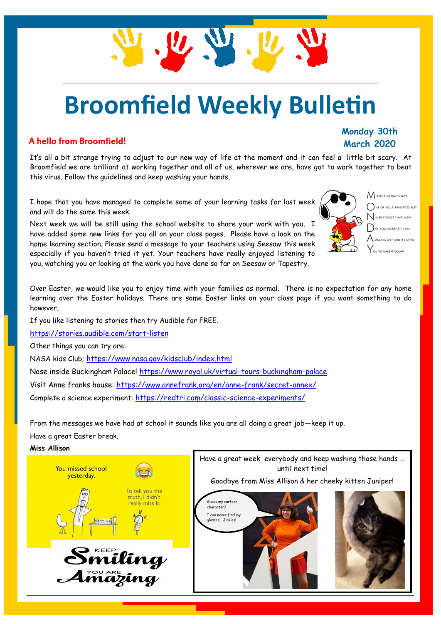## **Broomfield Weekly Bulletin**

#### A hello from Broomfield!

#### **Monday 30th March 2020**

It's all a bit strange trying to adjust to our new way of life at the moment and it can feel a little bit scary. At Broomfield we are brilliant at working together and all of us, wherever we are, have got to work together to beat this virus. Follow the guidelines and keep washing your hands.

I hope that you have managed to complete some of your learning tasks for last week and will do the same this week.

 $\mathbf{u}$ 

Next week we will be still using the school website to share your work with you. I have added some new links for you all on your class pages. Please have a look on the home learning section. Please send a message to your teachers using Seesaw this week especially if you haven't tried it yet. Your teachers have really enjoyed listening to you, watching you or looking at the work you have done so far on Seesaw or Tapestry.



M AYBE THIS DAY IS NOT NE OF YOUR FAVORITES BUT EVER FORGET THAT EVERY AY YOU WAKE UP IS AN

 $A$  mazing gift and its up to 

Over Easter, we would like you to enjoy time with your families as normal. There is no expectation for any home learning over the Easter holidays. There are some Easter links on your class page if you want something to do however.

If you like listening to stories then try Audible for FREE.

<https://stories.audible.com/start-listen>

Other things you can try are:

NASA kids Club; <https://www.nasa.gov/kidsclub/index.html>

Nose inside Buckingham Palace!<https://www.royal.uk/virtual-tours-buckingham-palace>

Visit Anne franks house:<https://www.annefrank.org/en/anne-frank/secret-annex/>

Complete a science experiment: <https://redtri.com/classic-science-experiments/>

From the messages we have had at school it sounds like you are all doing a great job—keep it up. Have a great Easter break.

**Miss Allison**